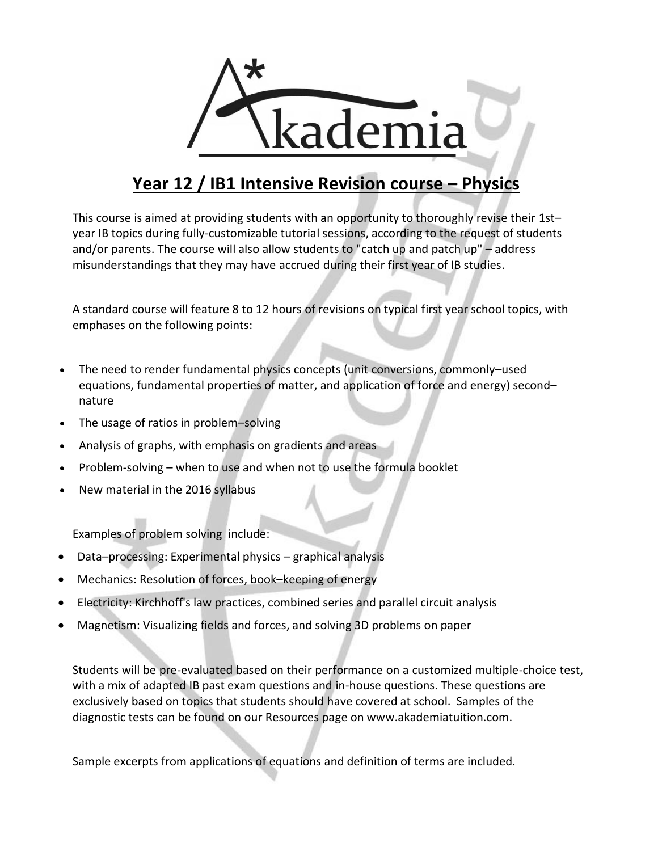

## **Year 12 / IB1 Intensive Revision course – Physics**

This course is aimed at providing students with an opportunity to thoroughly revise their 1st– year IB topics during fully-customizable tutorial sessions, according to the request of students and/or parents. The course will also allow students to "catch up and patch up" – address misunderstandings that they may have accrued during their first year of IB studies.

A standard course will feature 8 to 12 hours of revisions on typical first year school topics, with emphases on the following points:

- The need to render fundamental physics concepts (unit conversions, commonly–used equations, fundamental properties of matter, and application of force and energy) second– nature
- The usage of ratios in problem–solving
- Analysis of graphs, with emphasis on gradients and areas
- Problem-solving when to use and when not to use the formula booklet
- New material in the 2016 syllabus

Examples of problem solving include:

- Data–processing: Experimental physics graphical analysis
- Mechanics: Resolution of forces, book–keeping of energy
- Electricity: Kirchhoff's law practices, combined series and parallel circuit analysis
- Magnetism: Visualizing fields and forces, and solving 3D problems on paper

Students will be pre-evaluated based on their performance on a customized multiple-choice test, with a mix of adapted IB past exam questions and in-house questions. These questions are exclusively based on topics that students should have covered at school. Samples of the diagnostic tests can be found on our Resources page on www.akademiatuition.com.

Sample excerpts from applications of equations and definition of terms are included.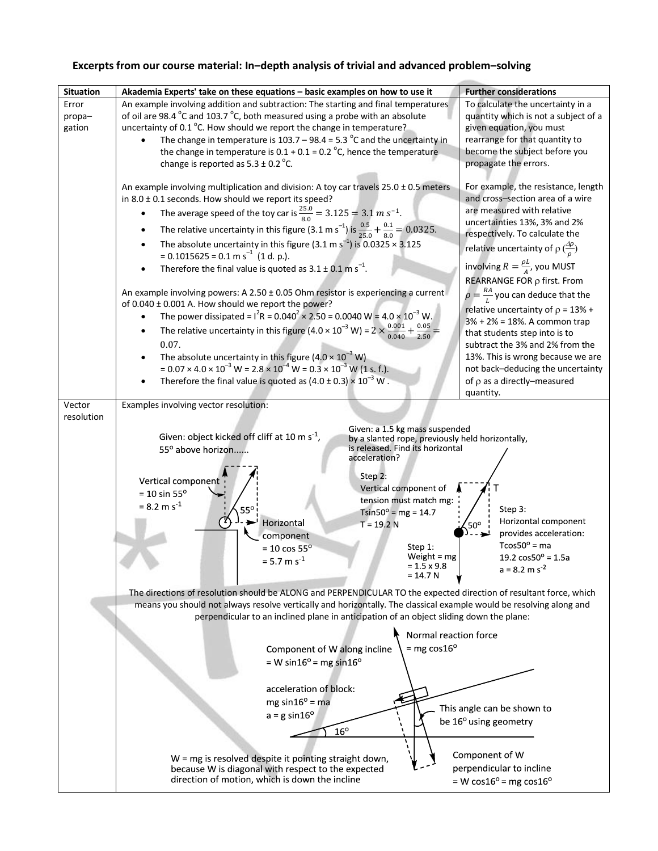## **Excerpts from our course material: In–depth analysis of trivial and advanced problem–solving**

| <b>Situation</b>     | Akademia Experts' take on these equations - basic examples on how to use it                                                                                                                                                               | <b>Further considerations</b>                                           |  |  |  |
|----------------------|-------------------------------------------------------------------------------------------------------------------------------------------------------------------------------------------------------------------------------------------|-------------------------------------------------------------------------|--|--|--|
| Error                | An example involving addition and subtraction: The starting and final temperatures                                                                                                                                                        | To calculate the uncertainty in a                                       |  |  |  |
| propa-               | of oil are 98.4 °C and 103.7 °C, both measured using a probe with an absolute<br>quantity which is not a subject of a                                                                                                                     |                                                                         |  |  |  |
| gation               | uncertainty of 0.1 °C. How should we report the change in temperature?<br>given equation, you must                                                                                                                                        |                                                                         |  |  |  |
|                      | The change in temperature is $103.7 - 98.4 = 5.3$ °C and the uncertainty in<br>rearrange for that quantity to                                                                                                                             |                                                                         |  |  |  |
|                      | the change in temperature is $0.1 + 0.1 = 0.2$ °C, hence the temperature                                                                                                                                                                  | become the subject before you                                           |  |  |  |
|                      | change is reported as $5.3 \pm 0.2$ °C.                                                                                                                                                                                                   | propagate the errors.                                                   |  |  |  |
|                      |                                                                                                                                                                                                                                           |                                                                         |  |  |  |
|                      | An example involving multiplication and division: A toy car travels $25.0 \pm 0.5$ meters                                                                                                                                                 | For example, the resistance, length                                     |  |  |  |
|                      | in $8.0 \pm 0.1$ seconds. How should we report its speed?                                                                                                                                                                                 | and cross-section area of a wire                                        |  |  |  |
|                      | The average speed of the toy car is $\frac{25.0}{8.0} = 3.125 = 3.1$ m s <sup>-1</sup> .<br>$\bullet$                                                                                                                                     | are measured with relative                                              |  |  |  |
|                      | The relative uncertainty in this figure (3.1 m s <sup>-1</sup> ) is $\frac{0.5}{25.0} + \frac{0.1}{8.0} = 0.0325$ .                                                                                                                       | uncertainties 13%, 3% and 2%<br>respectively. To calculate the          |  |  |  |
|                      | The absolute uncertainty in this figure (3.1 m $s^{-1}$ ) is 0.0325 × 3.125<br>$\bullet$                                                                                                                                                  | relative uncertainty of $\rho\left(\frac{dp}{q}\right)$                 |  |  |  |
|                      | $= 0.1015625 = 0.1$ m s <sup>-1</sup> (1 d. p.).                                                                                                                                                                                          | involving $R = \frac{\rho L}{A}$ , you MUST                             |  |  |  |
|                      | Therefore the final value is quoted as $3.1 \pm 0.1$ m s <sup>-1</sup> .                                                                                                                                                                  | REARRANGE FOR p first. From                                             |  |  |  |
|                      | An example involving powers: A $2.50 \pm 0.05$ Ohm resistor is experiencing a current                                                                                                                                                     |                                                                         |  |  |  |
|                      | of 0.040 ± 0.001 A. How should we report the power?                                                                                                                                                                                       | $\rho = \frac{RA}{I}$ you can deduce that the                           |  |  |  |
|                      | The power dissipated = $1^2R = 0.040^2 \times 2.50 = 0.0040$ W = $4.0 \times 10^{-3}$ W.<br>$\bullet$                                                                                                                                     | relative uncertainty of $\rho = 13\% +$<br>3% + 2% = 18%. A common trap |  |  |  |
|                      | The relative uncertainty in this figure $(4.0 \times 10^{-3} \text{ W}) = 2 \times \frac{0.001}{0.040} + \frac{0.05}{2.50} =$<br>$\bullet$                                                                                                | that students step into is to                                           |  |  |  |
|                      | 0.07.                                                                                                                                                                                                                                     | subtract the 3% and 2% from the                                         |  |  |  |
|                      | The absolute uncertainty in this figure $(4.0 \times 10^{-3} \text{ W})$                                                                                                                                                                  | 13%. This is wrong because we are                                       |  |  |  |
|                      | $= 0.07 \times 4.0 \times 10^{-3}$ W = 2.8 $\times 10^{-4}$ W = 0.3 $\times 10^{-3}$ W (1 s. f.).                                                                                                                                         | not back-deducing the uncertainty                                       |  |  |  |
|                      | Therefore the final value is quoted as $(4.0 \pm 0.3) \times 10^{-3}$ W.                                                                                                                                                                  | of $\rho$ as a directly-measured                                        |  |  |  |
|                      |                                                                                                                                                                                                                                           | quantity.                                                               |  |  |  |
| Vector<br>resolution | Examples involving vector resolution:                                                                                                                                                                                                     |                                                                         |  |  |  |
|                      | Given: a 1.5 kg mass suspended                                                                                                                                                                                                            |                                                                         |  |  |  |
|                      | Given: object kicked off cliff at 10 m $s^{-1}$ ,<br>by a slanted rope, previously held horizontally,                                                                                                                                     |                                                                         |  |  |  |
|                      | is released. Find its horizontal<br>55° above horizon<br>acceleration?                                                                                                                                                                    |                                                                         |  |  |  |
|                      |                                                                                                                                                                                                                                           |                                                                         |  |  |  |
|                      | Step 2:<br>Vertical component                                                                                                                                                                                                             |                                                                         |  |  |  |
|                      | Vertical component of<br>$= 10 \sin 55^\circ$                                                                                                                                                                                             |                                                                         |  |  |  |
|                      | tension must match mg:<br>$= 8.2$ m s <sup>-1</sup><br>$55^{\rm o}$<br>Tsin $50^{\circ}$ = mg = 14.7                                                                                                                                      | Step 3:                                                                 |  |  |  |
|                      | Horizontal<br>$T = 19.2 N$                                                                                                                                                                                                                | Horizontal component                                                    |  |  |  |
|                      | component                                                                                                                                                                                                                                 | provides acceleration:                                                  |  |  |  |
|                      | Step 1:<br>$= 10 \cos 55^\circ$                                                                                                                                                                                                           | Tcos $50^\circ$ = ma                                                    |  |  |  |
|                      | Weight = $mg$<br>$= 5.7$ m s <sup>-1</sup>                                                                                                                                                                                                | 19.2 $cos50^{\circ} = 1.5a$                                             |  |  |  |
|                      | $= 1.5 \times 9.8$<br>$= 14.7 N$                                                                                                                                                                                                          | $a = 8.2$ m s <sup>-2</sup>                                             |  |  |  |
|                      |                                                                                                                                                                                                                                           |                                                                         |  |  |  |
|                      | The directions of resolution should be ALONG and PERPENDICULAR TO the expected direction of resultant force, which<br>means you should not always resolve vertically and horizontally. The classical example would be resolving along and |                                                                         |  |  |  |
|                      | perpendicular to an inclined plane in anticipation of an object sliding down the plane:                                                                                                                                                   |                                                                         |  |  |  |
|                      |                                                                                                                                                                                                                                           |                                                                         |  |  |  |
|                      | Normal reaction force<br>$=$ mg cos16 <sup>o</sup>                                                                                                                                                                                        |                                                                         |  |  |  |
|                      | Component of W along incline<br>= W sin16 $^{\circ}$ = mg sin16 $^{\circ}$                                                                                                                                                                |                                                                         |  |  |  |
|                      |                                                                                                                                                                                                                                           |                                                                         |  |  |  |
|                      | acceleration of block:                                                                                                                                                                                                                    |                                                                         |  |  |  |
|                      | mg sin $16^{\circ}$ = ma                                                                                                                                                                                                                  |                                                                         |  |  |  |
|                      | $a = g \sin 16^\circ$                                                                                                                                                                                                                     | This angle can be shown to                                              |  |  |  |
|                      |                                                                                                                                                                                                                                           | be 16° using geometry                                                   |  |  |  |
|                      | $16^{\circ}$                                                                                                                                                                                                                              |                                                                         |  |  |  |
|                      | Component of W                                                                                                                                                                                                                            |                                                                         |  |  |  |
|                      | W = mg is resolved despite it pointing straight down,<br>perpendicular to incline<br>because W is diagonal with respect to the expected                                                                                                   |                                                                         |  |  |  |
|                      | direction of motion, which is down the incline                                                                                                                                                                                            | $=$ W cos16 <sup>o</sup> = mg cos16 <sup>o</sup>                        |  |  |  |
|                      |                                                                                                                                                                                                                                           |                                                                         |  |  |  |